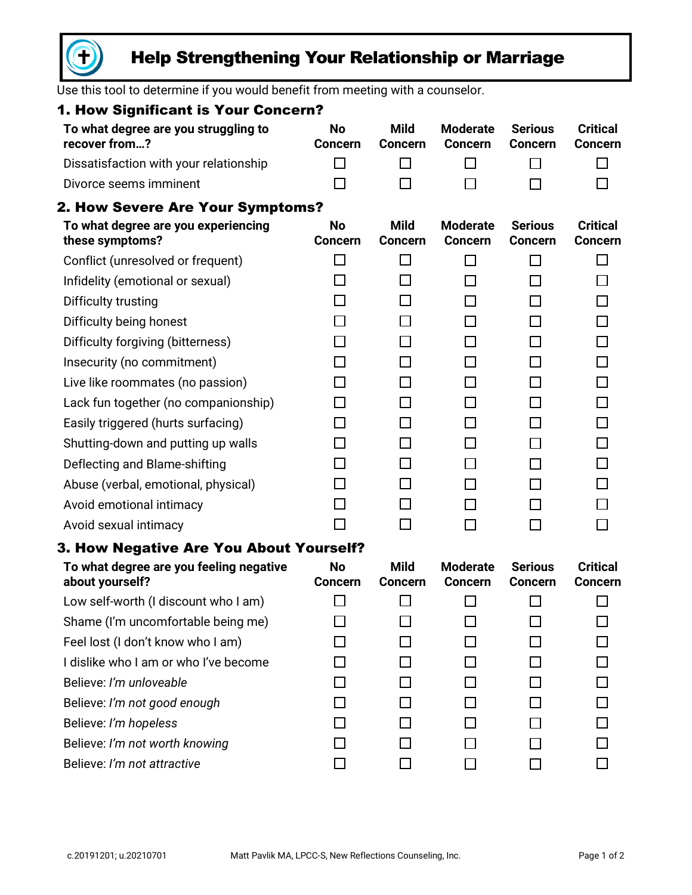

# Help Strengthening Your Relationship or Marriage

Use this tool to determine if you would benefit from meeting with a counselor.

| 1. How Significant is Your Concern?                        |                             |                               |                                   |                                  |                                   |
|------------------------------------------------------------|-----------------------------|-------------------------------|-----------------------------------|----------------------------------|-----------------------------------|
| To what degree are you struggling to<br>recover from?      | <b>No</b><br><b>Concern</b> | <b>Mild</b><br><b>Concern</b> | <b>Moderate</b><br><b>Concern</b> | <b>Serious</b><br><b>Concern</b> | <b>Critical</b><br><b>Concern</b> |
| Dissatisfaction with your relationship                     | П                           | ΙI                            |                                   | $\mathbb{R}^n$                   | $\mathbf{I}$                      |
| Divorce seems imminent                                     | $\Box$                      | $\mathbf{L}$                  |                                   | П                                | $\sim$                            |
| <b>2. How Severe Are Your Symptoms?</b>                    |                             |                               |                                   |                                  |                                   |
| To what degree are you experiencing<br>these symptoms?     | No<br><b>Concern</b>        | <b>Mild</b><br><b>Concern</b> | <b>Moderate</b><br><b>Concern</b> | <b>Serious</b><br><b>Concern</b> | <b>Critical</b><br><b>Concern</b> |
| Conflict (unresolved or frequent)                          | $\Box$                      | $\Box$                        | ΙI                                | П                                | $\Box$                            |
| Infidelity (emotional or sexual)                           | П                           | П                             | П                                 | □                                | $\Box$                            |
| Difficulty trusting                                        | $\Box$                      | П                             | П                                 | □                                | $\Box$                            |
| Difficulty being honest                                    | $\Box$                      | П                             | ΙI                                | □                                | $\Box$                            |
| Difficulty forgiving (bitterness)                          | $\Box$                      | П                             | П                                 | □                                | $\Box$                            |
| Insecurity (no commitment)                                 | П                           | П                             | П                                 | □                                | $\Box$                            |
| Live like roommates (no passion)                           | П                           | П                             | П                                 | □                                | $\Box$                            |
| Lack fun together (no companionship)                       | П                           | П                             | П                                 | □                                | $\Box$                            |
| Easily triggered (hurts surfacing)                         | □                           | П                             | П                                 | □                                | $\Box$                            |
| Shutting-down and putting up walls                         | П                           | П                             | П                                 | □                                | $\Box$                            |
| Deflecting and Blame-shifting                              | $\Box$                      | П                             | П                                 | □                                | $\Box$                            |
| Abuse (verbal, emotional, physical)                        | П                           | П                             | ΙI                                | П                                | $\Box$                            |
| Avoid emotional intimacy                                   | П                           | П                             | П                                 | □                                | $\Box$                            |
| Avoid sexual intimacy                                      | П                           | П                             | ΙI                                | П                                | П                                 |
| 3. How Negative Are You About Yourself?                    |                             |                               |                                   |                                  |                                   |
| To what degree are you feeling negative<br>about yourself? | <b>No</b><br><b>Concern</b> | <b>Mild</b><br><b>Concern</b> | <b>Moderate</b><br><b>Concern</b> | <b>Serious</b><br><b>Concern</b> | <b>Critical</b><br><b>Concern</b> |
| Low self-worth (I discount who I am)                       |                             |                               |                                   |                                  |                                   |
| Shame (I'm uncomfortable being me)                         |                             |                               |                                   |                                  |                                   |
| Feel lost (I don't know who I am)                          |                             |                               |                                   |                                  |                                   |
| I dislike who I am or who I've become                      |                             |                               |                                   |                                  |                                   |
| Believe: I'm unloveable                                    |                             |                               |                                   |                                  |                                   |
| Believe: I'm not good enough                               |                             |                               |                                   |                                  |                                   |
| Believe: I'm hopeless                                      |                             |                               |                                   |                                  |                                   |
| Believe: I'm not worth knowing                             |                             |                               |                                   |                                  |                                   |
| Believe: I'm not attractive                                |                             |                               |                                   |                                  |                                   |